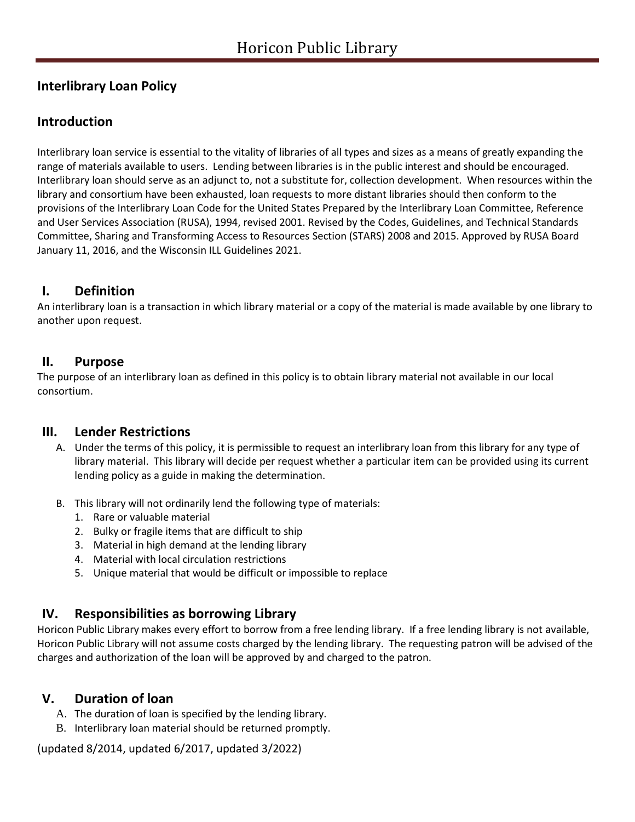# **Interlibrary Loan Policy**

# **Introduction**

Interlibrary loan service is essential to the vitality of libraries of all types and sizes as a means of greatly expanding the range of materials available to users. Lending between libraries is in the public interest and should be encouraged. Interlibrary loan should serve as an adjunct to, not a substitute for, collection development. When resources within the library and consortium have been exhausted, loan requests to more distant libraries should then conform to the provisions of the Interlibrary Loan Code for the United States Prepared by the Interlibrary Loan Committee, Reference and User Services Association (RUSA), 1994, revised 2001. Revised by the Codes, Guidelines, and Technical Standards Committee, Sharing and Transforming Access to Resources Section (STARS) 2008 and 2015. Approved by RUSA Board January 11, 2016, and the Wisconsin ILL Guidelines 2021.

### **I. Definition**

An interlibrary loan is a transaction in which library material or a copy of the material is made available by one library to another upon request.

#### **II. Purpose**

The purpose of an interlibrary loan as defined in this policy is to obtain library material not available in our local consortium.

### **III. Lender Restrictions**

- A. Under the terms of this policy, it is permissible to request an interlibrary loan from this library for any type of library material. This library will decide per request whether a particular item can be provided using its current lending policy as a guide in making the determination.
- B. This library will not ordinarily lend the following type of materials:
	- 1. Rare or valuable material
	- 2. Bulky or fragile items that are difficult to ship
	- 3. Material in high demand at the lending library
	- 4. Material with local circulation restrictions
	- 5. Unique material that would be difficult or impossible to replace

### **IV. Responsibilities as borrowing Library**

Horicon Public Library makes every effort to borrow from a free lending library. If a free lending library is not available, Horicon Public Library will not assume costs charged by the lending library. The requesting patron will be advised of the charges and authorization of the loan will be approved by and charged to the patron.

# **V. Duration of loan**

- A. The duration of loan is specified by the lending library.
- B. Interlibrary loan material should be returned promptly.

(updated 8/2014, updated 6/2017, updated 3/2022)